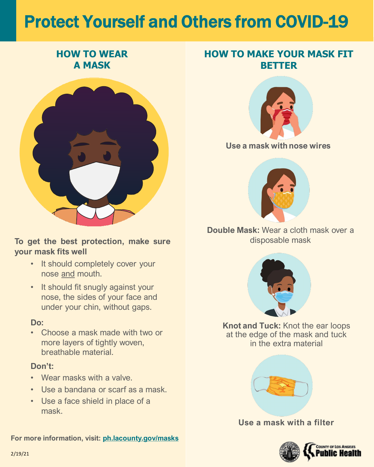# Protect Yourself and Others from COVID-19

#### **Use a mask with nose wires**



**Double Mask:** Wear a cloth mask over a disposable mask



**Knot and Tuck:** Knot the ear loops at the edge of the mask and tuck in the extra material



• It should completely cover your nose and mouth.

#### **Use a mask with a filter**



## **HOW TO WEAR A MASK**



• It should fit snugly against your nose, the sides of your face and under your chin, without gaps.

## **HOW TO MAKE YOUR MASK FIT BETTER**



#### **To get the best protection, make sure your mask fits well**

### **Do:**

• Choose a mask made with two or more layers of tightly woven, breathable material.

#### **Don't:**

- Wear masks with a valve.
- Use a bandana or scarf as a mask.
- Use a face shield in place of a mask.

**For more information, visit: [ph.lacounty.gov/masks](http://ph.lacounty.gov/masks)**